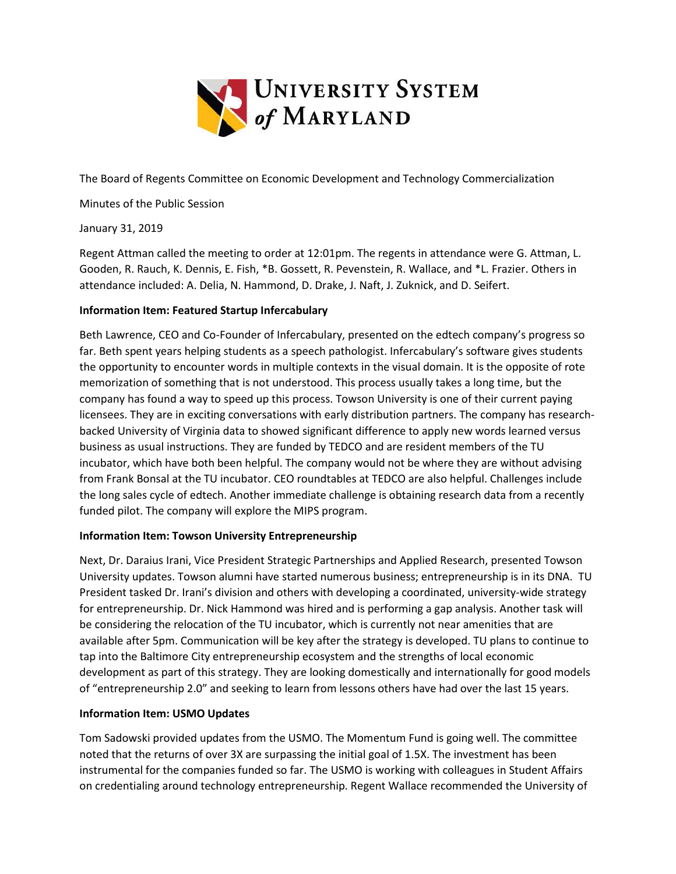

The Board of Regents Committee on Economic Development and Technology Commercialization

Minutes of the Public Session

January 31, 2019

Regent Attman called the meeting to order at 12:01pm. The regents in attendance were G. Attman, L. Gooden, R. Rauch, K. Dennis, E. Fish, \*B. Gossett, R. Pevenstein, R. Wallace, and \*L. Frazier. Others in attendance included: A. Delia, N. Hammond, D. Drake, J. Naft, J. Zuknick, and D. Seifert.

## **Information Item: Featured Startup Infercabulary**

Beth Lawrence, CEO and Co-Founder of Infercabulary, presented on the edtech company's progress so far. Beth spent years helping students as a speech pathologist. Infercabulary's software gives students the opportunity to encounter words in multiple contexts in the visual domain. It is the opposite of rote memorization of something that is not understood. This process usually takes a long time, but the company has found a way to speed up this process. Towson University is one of their current paying licensees. They are in exciting conversations with early distribution partners. The company has researchbacked University of Virginia data to showed significant difference to apply new words learned versus business as usual instructions. They are funded by TEDCO and are resident members of the TU incubator, which have both been helpful. The company would not be where they are without advising from Frank Bonsal at the TU incubator. CEO roundtables at TEDCO are also helpful. Challenges include the long sales cycle of edtech. Another immediate challenge is obtaining research data from a recently funded pilot. The company will explore the MIPS program.

## **Information Item: Towson University Entrepreneurship**

Next, Dr. Daraius Irani, Vice President Strategic Partnerships and Applied Research, presented Towson University updates. Towson alumni have started numerous business; entrepreneurship is in its DNA. TU President tasked Dr. Irani's division and others with developing a coordinated, university-wide strategy for entrepreneurship. Dr. Nick Hammond was hired and is performing a gap analysis. Another task will be considering the relocation of the TU incubator, which is currently not near amenities that are available after 5pm. Communication will be key after the strategy is developed. TU plans to continue to tap into the Baltimore City entrepreneurship ecosystem and the strengths of local economic development as part of this strategy. They are looking domestically and internationally for good models of "entrepreneurship 2.0" and seeking to learn from lessons others have had over the last 15 years.

## **Information Item: USMO Updates**

Tom Sadowski provided updates from the USMO. The Momentum Fund is going well. The committee noted that the returns of over 3X are surpassing the initial goal of 1.5X. The investment has been instrumental for the companies funded so far. The USMO is working with colleagues in Student Affairs on credentialing around technology entrepreneurship. Regent Wallace recommended the University of